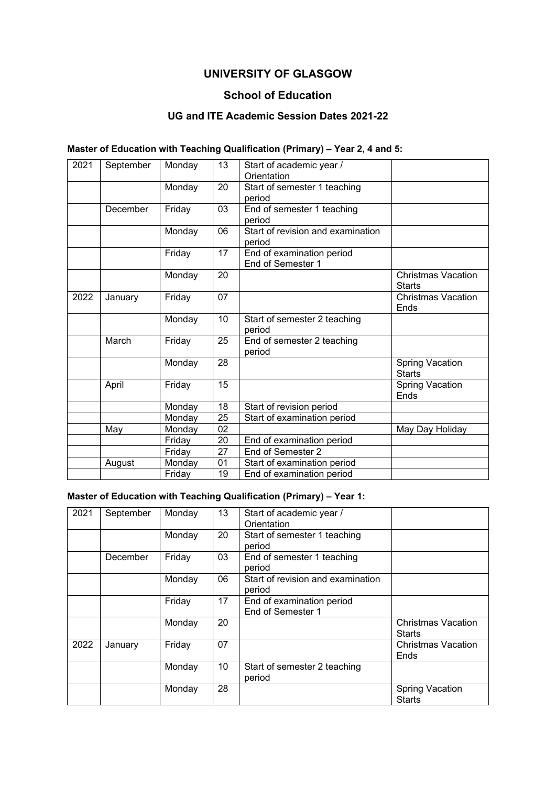# **UNIVERSITY OF GLASGOW**

#### **School of Education**

#### **UG and ITE Academic Session Dates 2021-22**

#### **Master of Education with Teaching Qualification (Primary) – Year 2, 4 and 5:**

| 2021 | September | Monday | 13 | Start of academic year /<br>Orientation        |                                            |
|------|-----------|--------|----|------------------------------------------------|--------------------------------------------|
|      |           | Monday | 20 | Start of semester 1 teaching<br>period         |                                            |
|      | December  | Friday | 03 | End of semester 1 teaching<br>period           |                                            |
|      |           | Monday | 06 | Start of revision and examination<br>period    |                                            |
|      |           | Friday | 17 | End of examination period<br>End of Semester 1 |                                            |
|      |           | Monday | 20 |                                                | <b>Christmas Vacation</b><br><b>Starts</b> |
| 2022 | January   | Friday | 07 |                                                | <b>Christmas Vacation</b><br>Ends          |
|      |           | Monday | 10 | Start of semester 2 teaching<br>period         |                                            |
|      | March     | Friday | 25 | End of semester 2 teaching<br>period           |                                            |
|      |           | Monday | 28 |                                                | <b>Spring Vacation</b><br><b>Starts</b>    |
|      | April     | Friday | 15 |                                                | <b>Spring Vacation</b><br>Ends             |
|      |           | Monday | 18 | Start of revision period                       |                                            |
|      |           | Monday | 25 | Start of examination period                    |                                            |
|      | May       | Monday | 02 |                                                | May Day Holiday                            |
|      |           | Friday | 20 | End of examination period                      |                                            |
|      |           | Friday | 27 | End of Semester 2                              |                                            |
|      | August    | Monday | 01 | Start of examination period                    |                                            |
|      |           | Friday | 19 | End of examination period                      |                                            |

#### **Master of Education with Teaching Qualification (Primary) – Year 1:**

| 2021 | September | Monday | 13 | Start of academic year /          |                           |
|------|-----------|--------|----|-----------------------------------|---------------------------|
|      |           |        |    | Orientation                       |                           |
|      |           | Monday | 20 | Start of semester 1 teaching      |                           |
|      |           |        |    | period                            |                           |
|      | December  | Friday | 03 | End of semester 1 teaching        |                           |
|      |           |        |    | period                            |                           |
|      |           | Monday | 06 | Start of revision and examination |                           |
|      |           |        |    | period                            |                           |
|      |           | Friday | 17 | End of examination period         |                           |
|      |           |        |    | End of Semester 1                 |                           |
|      |           | Monday | 20 |                                   | <b>Christmas Vacation</b> |
|      |           |        |    |                                   | <b>Starts</b>             |
| 2022 | January   | Friday | 07 |                                   | Christmas Vacation        |
|      |           |        |    |                                   | Ends                      |
|      |           | Monday | 10 | Start of semester 2 teaching      |                           |
|      |           |        |    | period                            |                           |
|      |           | Monday | 28 |                                   | <b>Spring Vacation</b>    |
|      |           |        |    |                                   | <b>Starts</b>             |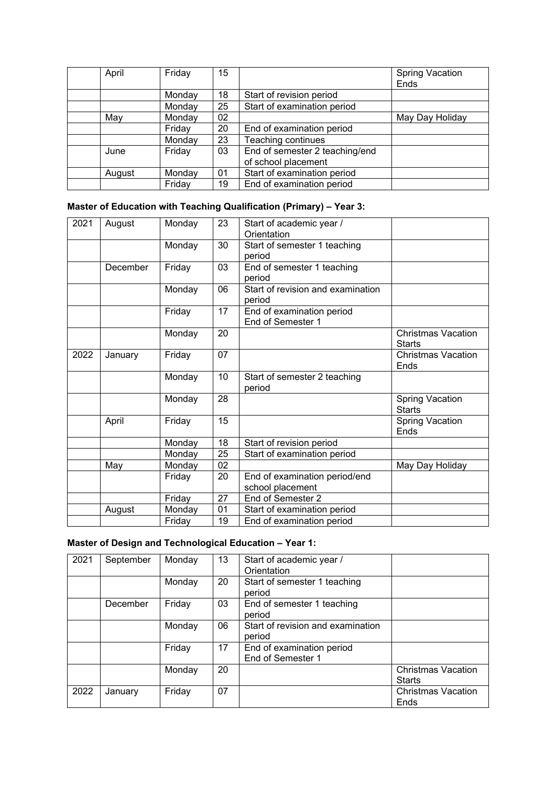| April  | Friday | 15 |                                | <b>Spring Vacation</b> |
|--------|--------|----|--------------------------------|------------------------|
|        |        |    |                                | Ends                   |
|        | Monday | 18 | Start of revision period       |                        |
|        | Monday | 25 | Start of examination period    |                        |
| May    | Monday | 02 |                                | May Day Holiday        |
|        | Friday | 20 | End of examination period      |                        |
|        | Monday | 23 | Teaching continues             |                        |
| June   | Friday | 03 | End of semester 2 teaching/end |                        |
|        |        |    | of school placement            |                        |
| August | Monday | 01 | Start of examination period    |                        |
|        | Friday | 19 | End of examination period      |                        |

## **Master of Education with Teaching Qualification (Primary) – Year 3:**

| 2021 | August   | Monday | 23 | Start of academic year /<br>Orientation           |                                            |
|------|----------|--------|----|---------------------------------------------------|--------------------------------------------|
|      |          | Monday | 30 | Start of semester 1 teaching                      |                                            |
|      |          |        |    | period                                            |                                            |
|      | December | Friday | 03 | End of semester 1 teaching<br>period              |                                            |
|      |          | Monday | 06 | Start of revision and examination<br>period       |                                            |
|      |          | Friday | 17 | End of examination period<br>End of Semester 1    |                                            |
|      |          | Monday | 20 |                                                   | <b>Christmas Vacation</b><br><b>Starts</b> |
| 2022 | January  | Friday | 07 |                                                   | <b>Christmas Vacation</b><br>Ends          |
|      |          | Monday | 10 | Start of semester 2 teaching<br>period            |                                            |
|      |          | Monday | 28 |                                                   | <b>Spring Vacation</b><br><b>Starts</b>    |
|      | April    | Friday | 15 |                                                   | <b>Spring Vacation</b><br>Ends             |
|      |          | Monday | 18 | Start of revision period                          |                                            |
|      |          | Monday | 25 | Start of examination period                       |                                            |
|      | May      | Monday | 02 |                                                   | May Day Holiday                            |
|      |          | Friday | 20 | End of examination period/end<br>school placement |                                            |
|      |          | Friday | 27 | End of Semester 2                                 |                                            |
|      | August   | Monday | 01 | Start of examination period                       |                                            |
|      |          | Friday | 19 | End of examination period                         |                                            |

## **Master of Design and Technological Education – Year 1:**

| 2021 | September | Monday | 13 | Start of academic year /<br>Orientation        |                                            |
|------|-----------|--------|----|------------------------------------------------|--------------------------------------------|
|      |           | Monday | 20 | Start of semester 1 teaching<br>period         |                                            |
|      | December  | Friday | 03 | End of semester 1 teaching<br>period           |                                            |
|      |           | Monday | 06 | Start of revision and examination<br>period    |                                            |
|      |           | Friday | 17 | End of examination period<br>End of Semester 1 |                                            |
|      |           | Monday | 20 |                                                | <b>Christmas Vacation</b><br><b>Starts</b> |
| 2022 | January   | Friday | 07 |                                                | <b>Christmas Vacation</b><br>Ends          |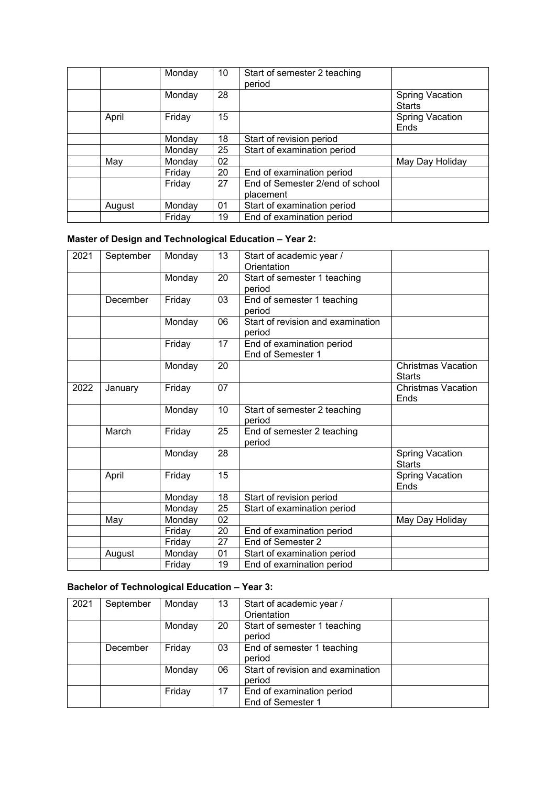|        | Monday | 10 | Start of semester 2 teaching<br>period       |                                         |
|--------|--------|----|----------------------------------------------|-----------------------------------------|
|        | Monday | 28 |                                              | <b>Spring Vacation</b><br><b>Starts</b> |
| April  | Friday | 15 |                                              | <b>Spring Vacation</b><br>Ends          |
|        | Monday | 18 | Start of revision period                     |                                         |
|        | Monday | 25 | Start of examination period                  |                                         |
| May    | Monday | 02 |                                              | May Day Holiday                         |
|        | Friday | 20 | End of examination period                    |                                         |
|        | Friday | 27 | End of Semester 2/end of school<br>placement |                                         |
| August | Monday | 01 | Start of examination period                  |                                         |
|        | Friday | 19 | End of examination period                    |                                         |

## **Master of Design and Technological Education – Year 2:**

| 2021 | September | Monday | 13 | Start of academic year /<br>Orientation |                           |
|------|-----------|--------|----|-----------------------------------------|---------------------------|
|      |           | Monday | 20 | Start of semester 1 teaching            |                           |
|      |           |        |    | period                                  |                           |
|      | December  | Friday | 03 | End of semester 1 teaching              |                           |
|      |           |        |    | period                                  |                           |
|      |           | Monday | 06 | Start of revision and examination       |                           |
|      |           |        |    | period                                  |                           |
|      |           | Friday | 17 | End of examination period               |                           |
|      |           |        |    | End of Semester 1                       |                           |
|      |           | Monday | 20 |                                         | <b>Christmas Vacation</b> |
|      |           |        |    |                                         | <b>Starts</b>             |
| 2022 | January   | Friday | 07 |                                         | <b>Christmas Vacation</b> |
|      |           |        |    |                                         | Ends                      |
|      |           | Monday | 10 | Start of semester 2 teaching            |                           |
|      |           |        |    | period                                  |                           |
|      | March     | Friday | 25 | End of semester 2 teaching              |                           |
|      |           |        |    | period                                  |                           |
|      |           | Monday | 28 |                                         | <b>Spring Vacation</b>    |
|      |           |        |    |                                         | <b>Starts</b>             |
|      | April     | Friday | 15 |                                         | <b>Spring Vacation</b>    |
|      |           |        |    |                                         | Ends                      |
|      |           | Monday | 18 | Start of revision period                |                           |
|      |           | Monday | 25 | Start of examination period             |                           |
|      | May       | Monday | 02 |                                         | May Day Holiday           |
|      |           | Friday | 20 | End of examination period               |                           |
|      |           | Friday | 27 | End of Semester 2                       |                           |
|      | August    | Monday | 01 | Start of examination period             |                           |
|      |           | Friday | 19 | End of examination period               |                           |

## **Bachelor of Technological Education – Year 3:**

| 2021 | September | Monday | 13 | Start of academic year /<br>Orientation        |  |
|------|-----------|--------|----|------------------------------------------------|--|
|      |           | Monday | 20 | Start of semester 1 teaching<br>period         |  |
|      | December  | Friday | 03 | End of semester 1 teaching<br>period           |  |
|      |           | Monday | 06 | Start of revision and examination<br>period    |  |
|      |           | Friday | 17 | End of examination period<br>End of Semester 1 |  |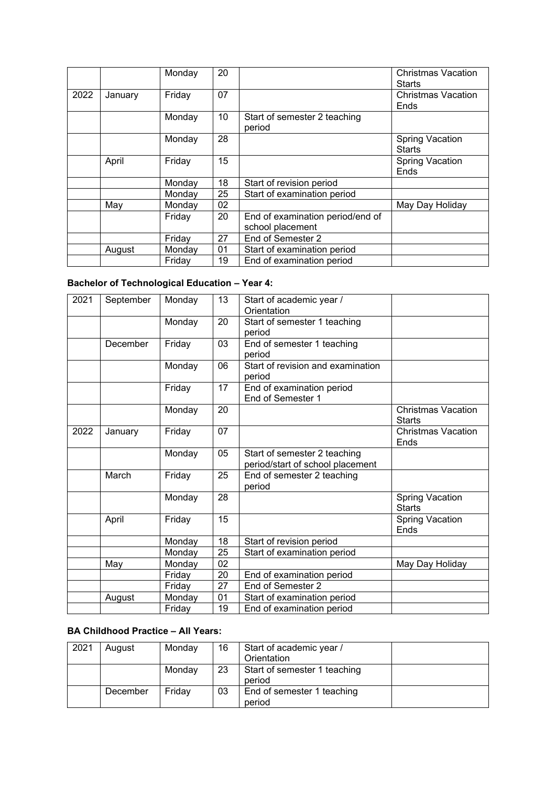|      |         | Monday | 20 |                                                      | Christmas Vacation<br><b>Starts</b>     |
|------|---------|--------|----|------------------------------------------------------|-----------------------------------------|
| 2022 | January | Friday | 07 |                                                      | <b>Christmas Vacation</b><br>Ends       |
|      |         | Monday | 10 | Start of semester 2 teaching<br>period               |                                         |
|      |         | Monday | 28 |                                                      | <b>Spring Vacation</b><br><b>Starts</b> |
|      | April   | Friday | 15 |                                                      | <b>Spring Vacation</b><br>Ends          |
|      |         | Monday | 18 | Start of revision period                             |                                         |
|      |         | Monday | 25 | Start of examination period                          |                                         |
|      | May     | Monday | 02 |                                                      | May Day Holiday                         |
|      |         | Friday | 20 | End of examination period/end of<br>school placement |                                         |
|      |         | Friday | 27 | End of Semester 2                                    |                                         |
|      | August  | Monday | 01 | Start of examination period                          |                                         |
|      |         | Fridav | 19 | End of examination period                            |                                         |

# **Bachelor of Technological Education – Year 4:**

| 2021 | September | Monday | 13              | Start of academic year /<br>Orientation                          |                                            |
|------|-----------|--------|-----------------|------------------------------------------------------------------|--------------------------------------------|
|      |           | Monday | 20              | Start of semester 1 teaching<br>period                           |                                            |
|      | December  | Friday | 03              | End of semester 1 teaching<br>period                             |                                            |
|      |           | Monday | 06              | Start of revision and examination<br>period                      |                                            |
|      |           | Friday | $\overline{17}$ | End of examination period<br>End of Semester 1                   |                                            |
|      |           | Monday | 20              |                                                                  | <b>Christmas Vacation</b><br><b>Starts</b> |
| 2022 | January   | Friday | 07              |                                                                  | <b>Christmas Vacation</b><br>Ends          |
|      |           | Monday | 05              | Start of semester 2 teaching<br>period/start of school placement |                                            |
|      | March     | Friday | 25              | End of semester 2 teaching<br>period                             |                                            |
|      |           | Monday | 28              |                                                                  | <b>Spring Vacation</b><br><b>Starts</b>    |
|      | April     | Friday | 15              |                                                                  | <b>Spring Vacation</b><br>Ends             |
|      |           | Monday | $\overline{18}$ | Start of revision period                                         |                                            |
|      |           | Monday | 25              | Start of examination period                                      |                                            |
|      | May       | Monday | 02              |                                                                  | May Day Holiday                            |
|      |           | Friday | 20              | End of examination period                                        |                                            |
|      |           | Friday | 27              | End of Semester 2                                                |                                            |
|      | August    | Monday | 01              | Start of examination period                                      |                                            |
|      |           | Friday | 19              | End of examination period                                        |                                            |
|      |           |        |                 |                                                                  |                                            |

#### **BA Childhood Practice – All Years:**

| 2021 | August   | Monday | 16 | Start of academic year /               |  |
|------|----------|--------|----|----------------------------------------|--|
|      |          |        |    | Orientation                            |  |
|      |          | Monday | 23 | Start of semester 1 teaching<br>period |  |
|      | December | Friday | 03 | End of semester 1 teaching<br>period   |  |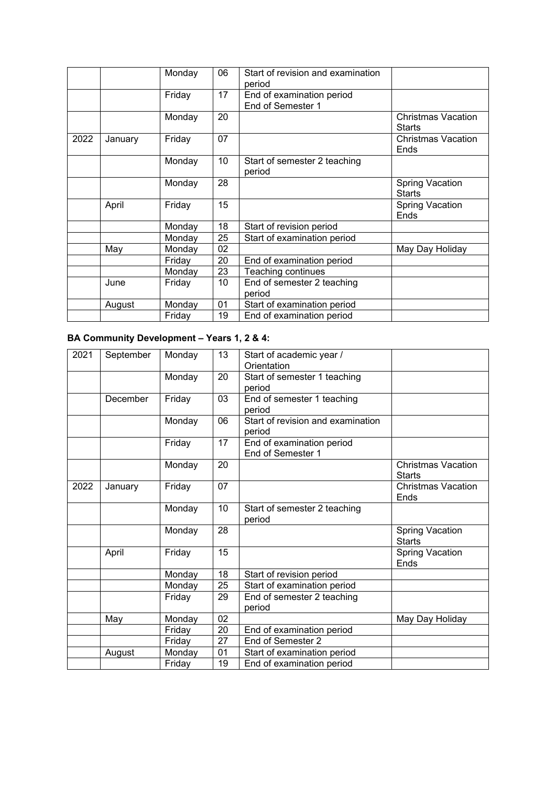|      |         | Monday | 06 | Start of revision and examination      |                                            |
|------|---------|--------|----|----------------------------------------|--------------------------------------------|
|      |         |        |    | period                                 |                                            |
|      |         | Friday | 17 | End of examination period              |                                            |
|      |         |        |    | End of Semester 1                      |                                            |
|      |         | Monday | 20 |                                        | <b>Christmas Vacation</b><br><b>Starts</b> |
| 2022 | January | Friday | 07 |                                        | <b>Christmas Vacation</b><br>Ends          |
|      |         | Monday | 10 | Start of semester 2 teaching<br>period |                                            |
|      |         | Monday | 28 |                                        | <b>Spring Vacation</b><br><b>Starts</b>    |
|      | April   | Friday | 15 |                                        | <b>Spring Vacation</b><br>Ends             |
|      |         | Monday | 18 | Start of revision period               |                                            |
|      |         | Monday | 25 | Start of examination period            |                                            |
|      | May     | Monday | 02 |                                        | May Day Holiday                            |
|      |         | Friday | 20 | End of examination period              |                                            |
|      |         | Monday | 23 | Teaching continues                     |                                            |
|      | June    | Friday | 10 | End of semester 2 teaching             |                                            |
|      |         |        |    | period                                 |                                            |
|      | August  | Monday | 01 | Start of examination period            |                                            |
|      |         | Friday | 19 | End of examination period              |                                            |

## **BA Community Development – Years 1, 2 & 4:**

| 2021 | September | Monday | 13 | Start of academic year /<br>Orientation |                           |
|------|-----------|--------|----|-----------------------------------------|---------------------------|
|      |           | Monday | 20 | Start of semester 1 teaching            |                           |
|      |           |        |    | period                                  |                           |
|      | December  | Friday | 03 | End of semester 1 teaching              |                           |
|      |           |        |    | period                                  |                           |
|      |           | Monday | 06 | Start of revision and examination       |                           |
|      |           |        |    | period                                  |                           |
|      |           | Friday | 17 | End of examination period               |                           |
|      |           |        |    | End of Semester 1                       |                           |
|      |           | Monday | 20 |                                         | <b>Christmas Vacation</b> |
|      |           |        |    |                                         | <b>Starts</b>             |
| 2022 | January   | Friday | 07 |                                         | <b>Christmas Vacation</b> |
|      |           |        |    |                                         | Ends                      |
|      |           | Monday | 10 | Start of semester 2 teaching            |                           |
|      |           |        |    | period                                  |                           |
|      |           | Monday | 28 |                                         | <b>Spring Vacation</b>    |
|      |           |        |    |                                         | <b>Starts</b>             |
|      | April     | Friday | 15 |                                         | <b>Spring Vacation</b>    |
|      |           |        |    |                                         | Ends                      |
|      |           | Monday | 18 | Start of revision period                |                           |
|      |           | Monday | 25 | Start of examination period             |                           |
|      |           | Friday | 29 | End of semester 2 teaching              |                           |
|      |           |        |    | period                                  |                           |
|      | May       | Monday | 02 |                                         | May Day Holiday           |
|      |           | Friday | 20 | End of examination period               |                           |
|      |           | Friday | 27 | End of Semester 2                       |                           |
|      | August    | Monday | 01 | Start of examination period             |                           |
|      |           | Friday | 19 | End of examination period               |                           |